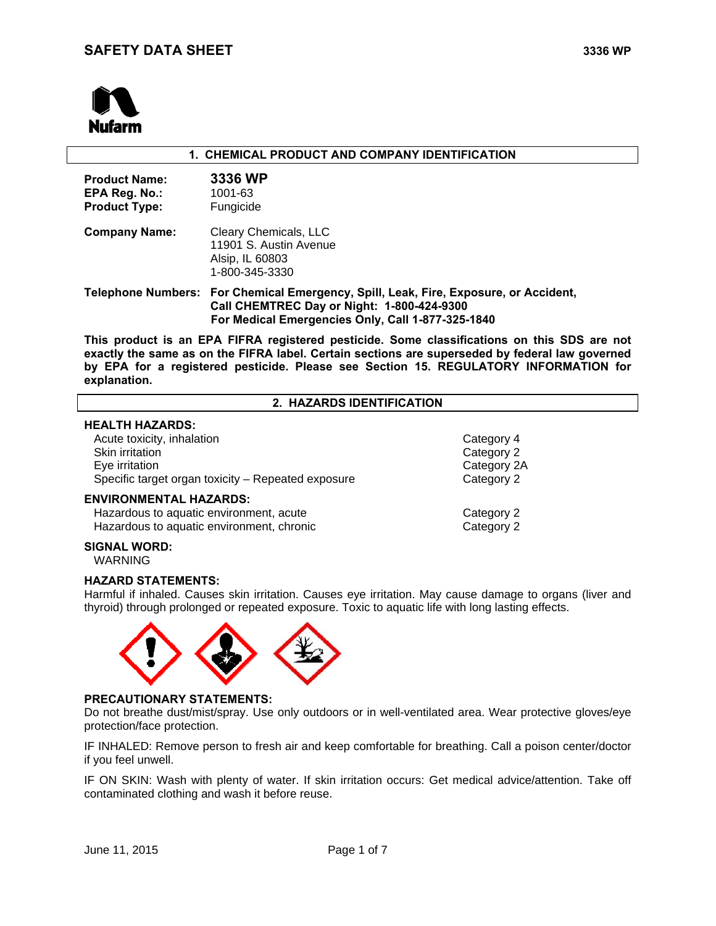

| 1. CHEMICAL PRODUCT AND COMPANY IDENTIFICATION                |                                                                                                                                                                                                                                                                                        |  |  |  |
|---------------------------------------------------------------|----------------------------------------------------------------------------------------------------------------------------------------------------------------------------------------------------------------------------------------------------------------------------------------|--|--|--|
| <b>Product Name:</b><br>EPA Reg. No.:<br><b>Product Type:</b> | 3336 WP<br>1001-63<br>Fungicide                                                                                                                                                                                                                                                        |  |  |  |
| <b>Company Name:</b>                                          | Cleary Chemicals, LLC<br>11901 S. Austin Avenue<br>Alsip, IL 60803<br>1-800-345-3330                                                                                                                                                                                                   |  |  |  |
|                                                               | Telephone Numbers: For Chemical Emergency, Spill, Leak, Fire, Exposure, or Accident,<br>Call CHEMTREC Day or Night: 1-800-424-9300<br>For Medical Emergencies Only, Call 1-877-325-1840                                                                                                |  |  |  |
| explanation.                                                  | This product is an EPA FIFRA registered pesticide. Some classifications on this SDS are not<br>exactly the same as on the FIFRA label. Certain sections are superseded by federal law governed<br>by EPA for a registered pesticide. Please see Section 15. REGULATORY INFORMATION for |  |  |  |
|                                                               | 2. HAZARDS IDENTIFICATION                                                                                                                                                                                                                                                              |  |  |  |

### **HEALTH HAZARDS:**

| Acute toxicity, inhalation                         | Category 4  |
|----------------------------------------------------|-------------|
| Skin irritation                                    | Category 2  |
| Eye irritation                                     | Category 2A |
| Specific target organ toxicity - Repeated exposure | Category 2  |
| <b>ENVIRONMENTAL HAZARDS:</b>                      |             |
| Hazardous to aquatic environment, acute            | Category 2  |
| Hazardous to aquatic environment, chronic          | Category 2  |

### **SIGNAL WORD:**

WARNING

### **HAZARD STATEMENTS:**

Harmful if inhaled. Causes skin irritation. Causes eye irritation. May cause damage to organs (liver and thyroid) through prolonged or repeated exposure. Toxic to aquatic life with long lasting effects.



### **PRECAUTIONARY STATEMENTS:**

Do not breathe dust/mist/spray. Use only outdoors or in well-ventilated area. Wear protective gloves/eye protection/face protection.

IF INHALED: Remove person to fresh air and keep comfortable for breathing. Call a poison center/doctor if you feel unwell.

IF ON SKIN: Wash with plenty of water. If skin irritation occurs: Get medical advice/attention. Take off contaminated clothing and wash it before reuse.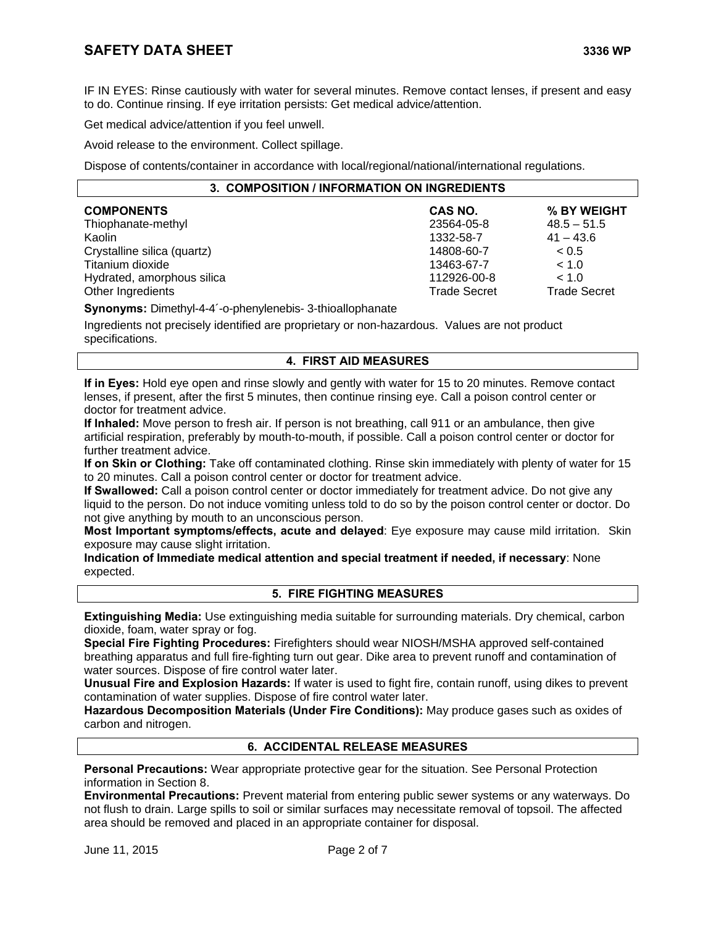IF IN EYES: Rinse cautiously with water for several minutes. Remove contact lenses, if present and easy to do. Continue rinsing. If eye irritation persists: Get medical advice/attention.

Get medical advice/attention if you feel unwell.

Avoid release to the environment. Collect spillage.

Dispose of contents/container in accordance with local/regional/national/international regulations.

| 3. COMPOSITION / INFORMATION ON INGREDIENTS |                     |                     |  |
|---------------------------------------------|---------------------|---------------------|--|
| <b>COMPONENTS</b>                           | CAS NO.             | % BY WEIGHT         |  |
| Thiophanate-methyl                          | 23564-05-8          | $48.5 - 51.5$       |  |
| Kaolin                                      | 1332-58-7           | $41 - 43.6$         |  |
| Crystalline silica (quartz)                 | 14808-60-7          | ~< 0.5              |  |
| Titanium dioxide                            | 13463-67-7          | < 1.0               |  |
| Hydrated, amorphous silica                  | 112926-00-8         | < 1.0               |  |
| Other Ingredients                           | <b>Trade Secret</b> | <b>Trade Secret</b> |  |

**Synonyms:** Dimethyl-4-4´-o-phenylenebis- 3-thioallophanate

Ingredients not precisely identified are proprietary or non-hazardous. Values are not product specifications.

## **4. FIRST AID MEASURES**

**If in Eyes:** Hold eye open and rinse slowly and gently with water for 15 to 20 minutes. Remove contact lenses, if present, after the first 5 minutes, then continue rinsing eye. Call a poison control center or doctor for treatment advice.

**If Inhaled:** Move person to fresh air. If person is not breathing, call 911 or an ambulance, then give artificial respiration, preferably by mouth-to-mouth, if possible. Call a poison control center or doctor for further treatment advice.

**If on Skin or Clothing:** Take off contaminated clothing. Rinse skin immediately with plenty of water for 15 to 20 minutes. Call a poison control center or doctor for treatment advice.

**If Swallowed:** Call a poison control center or doctor immediately for treatment advice. Do not give any liquid to the person. Do not induce vomiting unless told to do so by the poison control center or doctor. Do not give anything by mouth to an unconscious person.

**Most Important symptoms/effects, acute and delayed**: Eye exposure may cause mild irritation. Skin exposure may cause slight irritation.

**Indication of Immediate medical attention and special treatment if needed, if necessary**: None expected.

### **5. FIRE FIGHTING MEASURES**

**Extinguishing Media:** Use extinguishing media suitable for surrounding materials. Dry chemical, carbon dioxide, foam, water spray or fog.

**Special Fire Fighting Procedures:** Firefighters should wear NIOSH/MSHA approved self-contained breathing apparatus and full fire-fighting turn out gear. Dike area to prevent runoff and contamination of water sources. Dispose of fire control water later.

**Unusual Fire and Explosion Hazards:** If water is used to fight fire, contain runoff, using dikes to prevent contamination of water supplies. Dispose of fire control water later.

**Hazardous Decomposition Materials (Under Fire Conditions):** May produce gases such as oxides of carbon and nitrogen.

## **6. ACCIDENTAL RELEASE MEASURES**

**Personal Precautions:** Wear appropriate protective gear for the situation. See Personal Protection information in Section 8.

**Environmental Precautions:** Prevent material from entering public sewer systems or any waterways. Do not flush to drain. Large spills to soil or similar surfaces may necessitate removal of topsoil. The affected area should be removed and placed in an appropriate container for disposal.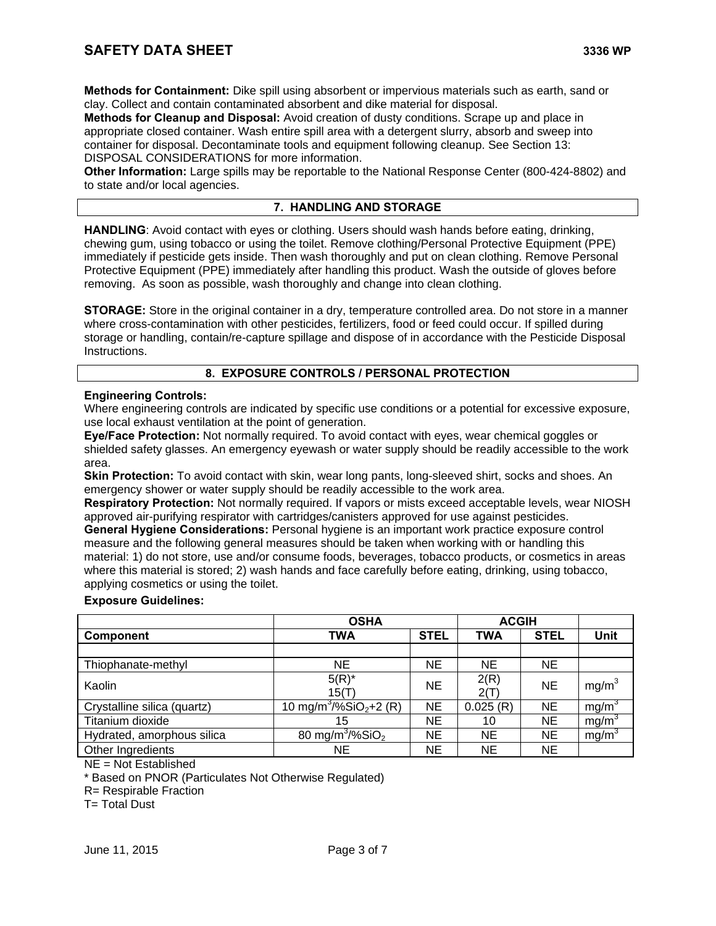**Methods for Containment:** Dike spill using absorbent or impervious materials such as earth, sand or clay. Collect and contain contaminated absorbent and dike material for disposal.

**Methods for Cleanup and Disposal:** Avoid creation of dusty conditions. Scrape up and place in appropriate closed container. Wash entire spill area with a detergent slurry, absorb and sweep into container for disposal. Decontaminate tools and equipment following cleanup. See Section 13: DISPOSAL CONSIDERATIONS for more information.

**Other Information:** Large spills may be reportable to the National Response Center (800-424-8802) and to state and/or local agencies.

# **7. HANDLING AND STORAGE**

**HANDLING**: Avoid contact with eyes or clothing. Users should wash hands before eating, drinking, chewing gum, using tobacco or using the toilet. Remove clothing/Personal Protective Equipment (PPE) immediately if pesticide gets inside. Then wash thoroughly and put on clean clothing. Remove Personal Protective Equipment (PPE) immediately after handling this product. Wash the outside of gloves before removing. As soon as possible, wash thoroughly and change into clean clothing.

**STORAGE:** Store in the original container in a dry, temperature controlled area. Do not store in a manner where cross-contamination with other pesticides, fertilizers, food or feed could occur. If spilled during storage or handling, contain/re-capture spillage and dispose of in accordance with the Pesticide Disposal Instructions.

# **8. EXPOSURE CONTROLS / PERSONAL PROTECTION**

## **Engineering Controls:**

Where engineering controls are indicated by specific use conditions or a potential for excessive exposure, use local exhaust ventilation at the point of generation.

**Eye/Face Protection:** Not normally required. To avoid contact with eyes, wear chemical goggles or shielded safety glasses. An emergency eyewash or water supply should be readily accessible to the work area.

**Skin Protection:** To avoid contact with skin, wear long pants, long-sleeved shirt, socks and shoes. An emergency shower or water supply should be readily accessible to the work area.

**Respiratory Protection:** Not normally required. If vapors or mists exceed acceptable levels, wear NIOSH approved air-purifying respirator with cartridges/canisters approved for use against pesticides.

**General Hygiene Considerations:** Personal hygiene is an important work practice exposure control measure and the following general measures should be taken when working with or handling this material: 1) do not store, use and/or consume foods, beverages, tobacco products, or cosmetics in areas where this material is stored; 2) wash hands and face carefully before eating, drinking, using tobacco, applying cosmetics or using the toilet.

### **Exposure Guidelines:**

|                             | <b>OSHA</b>                                    | <b>ACGIH</b> |              |             |                   |
|-----------------------------|------------------------------------------------|--------------|--------------|-------------|-------------------|
| <b>Component</b>            | TWA                                            | <b>STEL</b>  | <b>TWA</b>   | <b>STEL</b> | <b>Unit</b>       |
|                             |                                                |              |              |             |                   |
| Thiophanate-methyl          | NE                                             | ΝE           | <b>NE</b>    | <b>NE</b>   |                   |
| Kaolin                      | $5(R)^*$<br>15(T)                              | ΝE           | 2(R)<br>2(T) | <b>NE</b>   | mg/m <sup>3</sup> |
| Crystalline silica (quartz) | 10 mg/m <sup>3</sup> /%SiO <sub>2</sub> +2 (R) | ΝE           | 0.025(R)     | NE          | mg/m <sup>3</sup> |
| Titanium dioxide            | 15                                             | ΝE           | 10           | ΝE          | mg/m <sup>3</sup> |
| Hydrated, amorphous silica  | 80 mg/m <sup>3</sup> /%SiO <sub>2</sub>        | ΝE           | <b>NE</b>    | NE          | mg/m <sup>3</sup> |
| Other Ingredients           | NE.                                            | ΝE           | <b>NE</b>    | ΝE          |                   |

NE = Not Established

\* Based on PNOR (Particulates Not Otherwise Regulated)

R= Respirable Fraction

**T**= Total Dust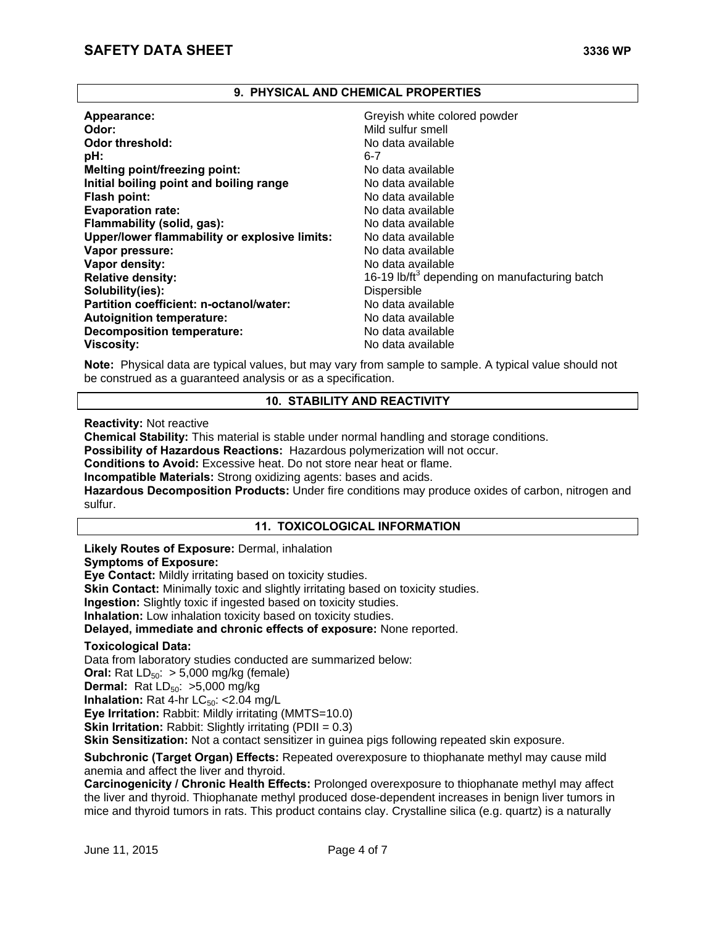### **9. PHYSICAL AND CHEMICAL PROPERTIES**

| Appearance:                                   | Greyish white colored powder                              |
|-----------------------------------------------|-----------------------------------------------------------|
| Odor:                                         | Mild sulfur smell                                         |
| <b>Odor threshold:</b>                        | No data available                                         |
| pH:                                           | 6-7                                                       |
| <b>Melting point/freezing point:</b>          | No data available                                         |
| Initial boiling point and boiling range       | No data available                                         |
| Flash point:                                  | No data available                                         |
| <b>Evaporation rate:</b>                      | No data available                                         |
| Flammability (solid, gas):                    | No data available                                         |
| Upper/lower flammability or explosive limits: | No data available                                         |
| Vapor pressure:                               | No data available                                         |
| Vapor density:                                | No data available                                         |
| <b>Relative density:</b>                      | 16-19 lb/ft <sup>3</sup> depending on manufacturing batch |
| Solubility(ies):                              | <b>Dispersible</b>                                        |
| Partition coefficient: n-octanol/water:       | No data available                                         |
| <b>Autoignition temperature:</b>              | No data available                                         |
| <b>Decomposition temperature:</b>             | No data available                                         |
| <b>Viscosity:</b>                             | No data available                                         |

**Note:** Physical data are typical values, but may vary from sample to sample. A typical value should not be construed as a guaranteed analysis or as a specification.

## **10. STABILITY AND REACTIVITY**

**Reactivity:** Not reactive

**Chemical Stability:** This material is stable under normal handling and storage conditions.

**Possibility of Hazardous Reactions:** Hazardous polymerization will not occur.

**Conditions to Avoid:** Excessive heat. Do not store near heat or flame.

**Incompatible Materials:** Strong oxidizing agents: bases and acids.

**Hazardous Decomposition Products:** Under fire conditions may produce oxides of carbon, nitrogen and sulfur.

## **11. TOXICOLOGICAL INFORMATION**

## **Likely Routes of Exposure:** Dermal, inhalation

### **Symptoms of Exposure:**

**Eye Contact:** Mildly irritating based on toxicity studies.

**Skin Contact:** Minimally toxic and slightly irritating based on toxicity studies.

**Ingestion:** Slightly toxic if ingested based on toxicity studies.

**Inhalation:** Low inhalation toxicity based on toxicity studies.

**Delayed, immediate and chronic effects of exposure:** None reported.

### **Toxicological Data:**

Data from laboratory studies conducted are summarized below: **Oral:** Rat  $LD_{50}$ :  $> 5,000$  mg/kg (female) **Dermal:** Rat LD<sub>50</sub>: >5,000 mg/kg **Inhalation:** Rat 4-hr  $LC_{50}$ : <2.04 mg/L **Eye Irritation:** Rabbit: Mildly irritating (MMTS=10.0) **Skin Irritation:** Rabbit: Slightly irritating (PDII = 0.3)

**Skin Sensitization:** Not a contact sensitizer in guinea pigs following repeated skin exposure.

**Subchronic (Target Organ) Effects:** Repeated overexposure to thiophanate methyl may cause mild anemia and affect the liver and thyroid.

**Carcinogenicity / Chronic Health Effects:** Prolonged overexposure to thiophanate methyl may affect the liver and thyroid. Thiophanate methyl produced dose-dependent increases in benign liver tumors in mice and thyroid tumors in rats. This product contains clay. Crystalline silica (e.g. quartz) is a naturally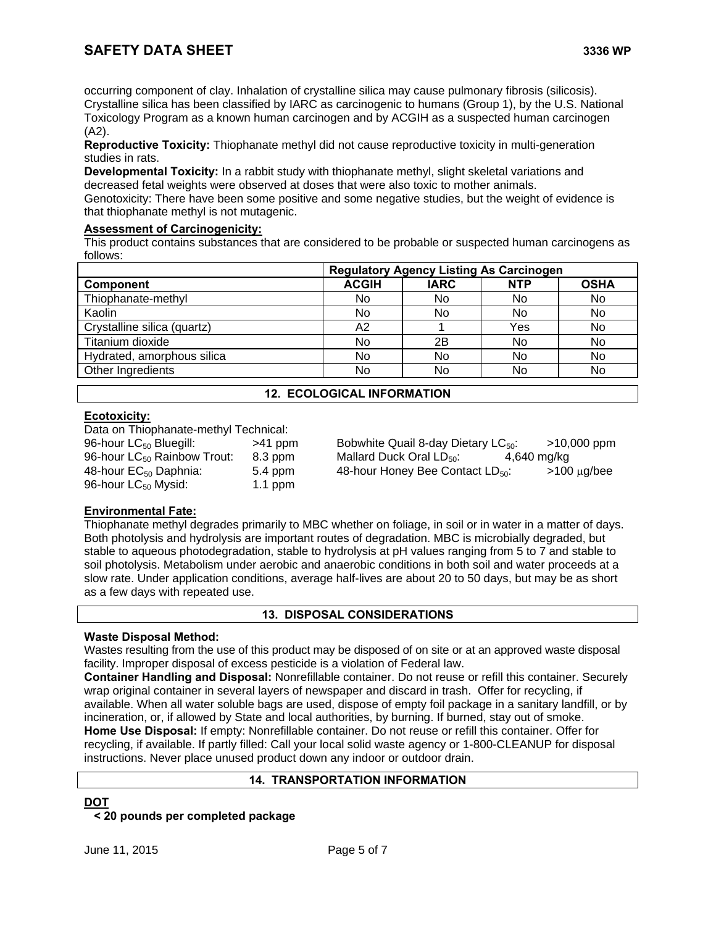occurring component of clay. Inhalation of crystalline silica may cause pulmonary fibrosis (silicosis). Crystalline silica has been classified by IARC as carcinogenic to humans (Group 1), by the U.S. National Toxicology Program as a known human carcinogen and by ACGIH as a suspected human carcinogen (A2).

**Reproductive Toxicity:** Thiophanate methyl did not cause reproductive toxicity in multi-generation studies in rats.

**Developmental Toxicity:** In a rabbit study with thiophanate methyl, slight skeletal variations and decreased fetal weights were observed at doses that were also toxic to mother animals.

Genotoxicity: There have been some positive and some negative studies, but the weight of evidence is that thiophanate methyl is not mutagenic.

# **Assessment of Carcinogenicity:**

This product contains substances that are considered to be probable or suspected human carcinogens as follows:

|                             |              | <b>Regulatory Agency Listing As Carcinogen</b> |            |             |  |
|-----------------------------|--------------|------------------------------------------------|------------|-------------|--|
| Component                   | <b>ACGIH</b> | <b>IARC</b>                                    | <b>NTP</b> | <b>OSHA</b> |  |
| Thiophanate-methyl          | No           | No                                             | No         | No          |  |
| Kaolin                      | No.          | No                                             | No         | No          |  |
| Crystalline silica (quartz) | А2           |                                                | Yes        | No          |  |
| Titanium dioxide            | No           | 2Β                                             | No         | No          |  |
| Hydrated, amorphous silica  | No           | No                                             | No         | No          |  |
| Other Ingredients           | No           | No                                             | No         | No          |  |
|                             |              |                                                |            |             |  |

## **12. ECOLOGICAL INFORMATION**

## **Ecotoxicity:**

Data on Thiophanate-methyl Technical:

| 96-hour LC <sub>50</sub> Bluegill:      | $>41$ ppm |
|-----------------------------------------|-----------|
| 96-hour LC <sub>50</sub> Rainbow Trout: | 8.3 ppm   |
| 48-hour EC <sub>50</sub> Daphnia:       | 5.4 ppm   |
| 96-hour LC <sub>50</sub> Mysid:         | $1.1$ ppm |

Bobwhite Quail 8-day Dietary  $LC_{50}$ :  $>10,000$  ppm Mallard Duck Oral LD $_{50}$ : 4,640 mg/kg 48-hour Honey Bee Contact  $LD_{50}$ :  $>100 \mu g/bee$ 

# **Environmental Fate:**

Thiophanate methyl degrades primarily to MBC whether on foliage, in soil or in water in a matter of days. Both photolysis and hydrolysis are important routes of degradation. MBC is microbially degraded, but stable to aqueous photodegradation, stable to hydrolysis at pH values ranging from 5 to 7 and stable to soil photolysis. Metabolism under aerobic and anaerobic conditions in both soil and water proceeds at a slow rate. Under application conditions, average half-lives are about 20 to 50 days, but may be as short as a few days with repeated use.

# **13. DISPOSAL CONSIDERATIONS**

## **Waste Disposal Method:**

Wastes resulting from the use of this product may be disposed of on site or at an approved waste disposal facility. Improper disposal of excess pesticide is a violation of Federal law.

**Container Handling and Disposal:** Nonrefillable container. Do not reuse or refill this container. Securely wrap original container in several layers of newspaper and discard in trash. Offer for recycling, if available. When all water soluble bags are used, dispose of empty foil package in a sanitary landfill, or by incineration, or, if allowed by State and local authorities, by burning. If burned, stay out of smoke. **Home Use Disposal:** If empty: Nonrefillable container. Do not reuse or refill this container. Offer for recycling, if available. If partly filled: Call your local solid waste agency or 1-800-CLEANUP for disposal instructions. Never place unused product down any indoor or outdoor drain.

## **14. TRANSPORTATION INFORMATION**

**DOT**

## **< 20 pounds per completed package**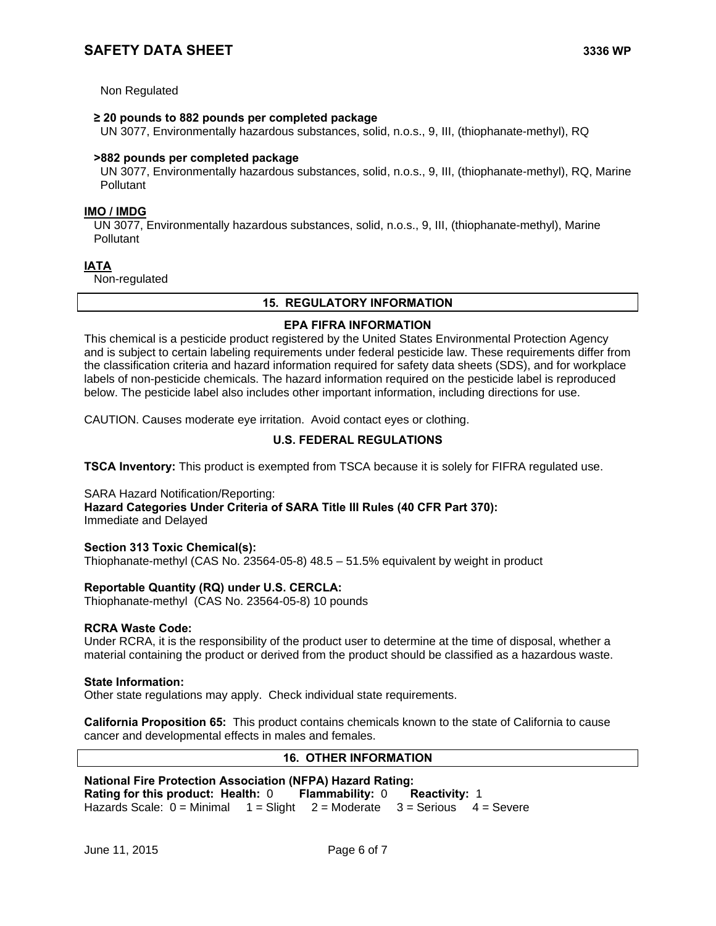Non Regulated

### **≥ 20 pounds to 882 pounds per completed package**

UN 3077, Environmentally hazardous substances, solid, n.o.s., 9, III, (thiophanate-methyl), RQ

### **>882 pounds per completed package**

 UN 3077, Environmentally hazardous substances, solid, n.o.s., 9, III, (thiophanate-methyl), RQ, Marine **Pollutant** 

## **IMO / IMDG**

 UN 3077, Environmentally hazardous substances, solid, n.o.s., 9, III, (thiophanate-methyl), Marine **Pollutant** 

### **IATA**

Non-regulated

### **15. REGULATORY INFORMATION**

### **EPA FIFRA INFORMATION**

This chemical is a pesticide product registered by the United States Environmental Protection Agency and is subject to certain labeling requirements under federal pesticide law. These requirements differ from the classification criteria and hazard information required for safety data sheets (SDS), and for workplace labels of non-pesticide chemicals. The hazard information required on the pesticide label is reproduced below. The pesticide label also includes other important information, including directions for use.

CAUTION. Causes moderate eye irritation. Avoid contact eyes or clothing.

## **U.S. FEDERAL REGULATIONS**

**TSCA Inventory:** This product is exempted from TSCA because it is solely for FIFRA regulated use.

SARA Hazard Notification/Reporting: **Hazard Categories Under Criteria of SARA Title III Rules (40 CFR Part 370):** Immediate and Delayed

### **Section 313 Toxic Chemical(s):**

Thiophanate-methyl (CAS No. 23564-05-8) 48.5 – 51.5% equivalent by weight in product

### **Reportable Quantity (RQ) under U.S. CERCLA:**

Thiophanate-methyl (CAS No. 23564-05-8) 10 pounds

### **RCRA Waste Code:**

Under RCRA, it is the responsibility of the product user to determine at the time of disposal, whether a material containing the product or derived from the product should be classified as a hazardous waste.

### **State Information:**

Other state regulations may apply. Check individual state requirements.

**California Proposition 65:** This product contains chemicals known to the state of California to cause cancer and developmental effects in males and females.

### **16. OTHER INFORMATION**

| <b>National Fire Protection Association (NFPA) Hazard Rating:</b> |  |  |                                                                                     |  |  |
|-------------------------------------------------------------------|--|--|-------------------------------------------------------------------------------------|--|--|
|                                                                   |  |  | Rating for this product: Health: 0 Flammability: 0 Reactivity: 1                    |  |  |
|                                                                   |  |  | Hazards Scale: $0 =$ Minimal $1 =$ Slight $2 =$ Moderate $3 =$ Serious $4 =$ Severe |  |  |